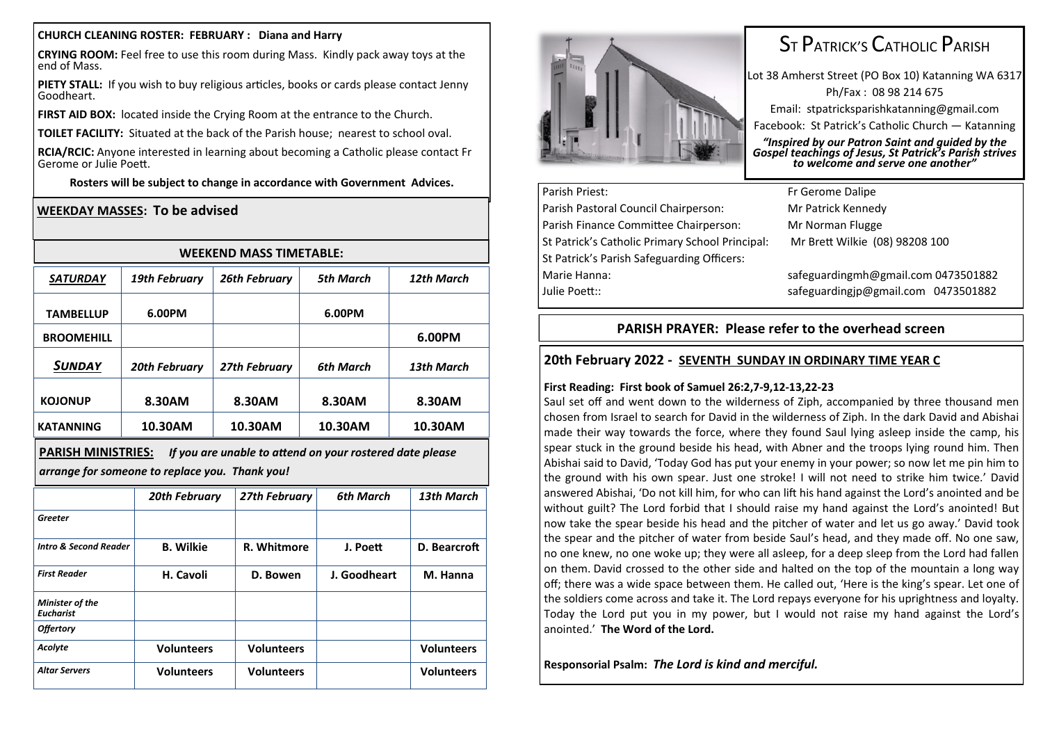#### **CHURCH CLEANING ROSTER: FEBRUARY : Diana and Harry**

**CRYING ROOM:** Feel free to use this room during Mass. Kindly pack away toys at the end of Mass.

**PIETY STALL:** If you wish to buy religious articles, books or cards please contact Jenny Goodheart.

**FIRST AID BOX:** located inside the Crying Room at the entrance to the Church.

**TOILET FACILITY:** Situated at the back of the Parish house; nearest to school oval.

**RCIA/RCIC:** Anyone interested in learning about becoming a Catholic please contact Fr Gerome or Julie Poett.

**Rosters will be subject to change in accordance with Government Advices.**

## **WEEKDAY MASSES: To be advised**

| <b>WEEKEND MASS TIMETABLE:</b>                                                                                                          |                      |               |                      |             |                  |          |                   |  |
|-----------------------------------------------------------------------------------------------------------------------------------------|----------------------|---------------|----------------------|-------------|------------------|----------|-------------------|--|
| <b>SATURDAY</b>                                                                                                                         | <b>19th February</b> |               | <b>26th February</b> |             | <b>5th March</b> |          | 12th March        |  |
| <b>TAMBELLUP</b>                                                                                                                        | 6.00PM               |               |                      |             | 6.00PM           |          |                   |  |
| <b>BROOMEHILL</b>                                                                                                                       |                      |               |                      |             |                  |          | 6.00PM            |  |
| <b>SUNDAY</b>                                                                                                                           | <b>20th February</b> |               | 27th February        |             | <b>6th March</b> |          | 13th March        |  |
| <b>KOJONUP</b>                                                                                                                          | 8.30AM               |               | 8.30AM               |             | 8.30AM           |          | 8.30AM            |  |
| <b>KATANNING</b>                                                                                                                        | 10.30AM              |               | 10.30AM              |             | 10.30AM          |          | 10.30AM           |  |
| If you are unable to attend on your rostered date please<br><b>PARISH MINISTRIES:</b><br>arrange for someone to replace you. Thank you! |                      |               |                      |             |                  |          |                   |  |
|                                                                                                                                         | <b>20th February</b> | 27th February |                      |             | <b>6th March</b> |          | 13th March        |  |
| Greeter                                                                                                                                 |                      |               |                      |             |                  |          |                   |  |
| <b>Intro &amp; Second Reader</b>                                                                                                        | <b>B.</b> Wilkie     |               |                      | R. Whitmore |                  | J. Poett |                   |  |
| <b>First Reader</b>                                                                                                                     | H. Cavoli            | D. Bowen      |                      |             | J. Goodheart     |          | M. Hanna          |  |
| Minister of the<br><b>Eucharist</b>                                                                                                     |                      |               |                      |             |                  |          |                   |  |
| <b>Offertory</b>                                                                                                                        |                      |               |                      |             |                  |          |                   |  |
| <b>Acolyte</b>                                                                                                                          | <b>Volunteers</b>    |               | <b>Volunteers</b>    |             |                  |          | <b>Volunteers</b> |  |
| <b>Altar Servers</b>                                                                                                                    | <b>Volunteers</b>    |               | <b>Volunteers</b>    |             |                  |          | <b>Volunteers</b> |  |



# ST PATRICK'S CATHOLIC PARISH

Lot 38 Amherst Street (PO Box 10) Katanning WA 6317 Ph/Fax : 08 98 214 675 Email: stpatricksparishkatanning@gmail.com Facebook: St Patrick's Catholic Church — Katanning

*"Inspired by our Patron Saint and guided by the Gospel teachings of Jesus, St Patrick's Parish strives to welcome and serve one another"*

| Parish Priest:                                  | Fr Gerome Dalipe                    |  |  |  |
|-------------------------------------------------|-------------------------------------|--|--|--|
| Parish Pastoral Council Chairperson:            | Mr Patrick Kennedy                  |  |  |  |
| Parish Finance Committee Chairperson:           | Mr Norman Flugge                    |  |  |  |
| St Patrick's Catholic Primary School Principal: | Mr Brett Wilkie (08) 98208 100      |  |  |  |
| St Patrick's Parish Safeguarding Officers:      |                                     |  |  |  |
| Marie Hanna:                                    | safeguardingmh@gmail.com 0473501882 |  |  |  |
| Julie Poett::                                   | safeguardingjp@gmail.com 0473501882 |  |  |  |
|                                                 |                                     |  |  |  |

#### **PARISH PRAYER: Please refer to the overhead screen**

### **20th February 2022 - SEVENTH SUNDAY IN ORDINARY TIME YEAR C**

#### **First Reading: First book of Samuel 26:2,7-9,12-13,22-23**

Saul set off and went down to the wilderness of Ziph, accompanied by three thousand men chosen from Israel to search for David in the wilderness of Ziph. In the dark David and Abishai made their way towards the force, where they found Saul lying asleep inside the camp, his spear stuck in the ground beside his head, with Abner and the troops lying round him. Then Abishai said to David, 'Today God has put your enemy in your power; so now let me pin him to the ground with his own spear. Just one stroke! I will not need to strike him twice.' David answered Abishai, 'Do not kill him, for who can lift his hand against the Lord's anointed and be without guilt? The Lord forbid that I should raise my hand against the Lord's anointed! But now take the spear beside his head and the pitcher of water and let us go away.' David took the spear and the pitcher of water from beside Saul's head, and they made off. No one saw, no one knew, no one woke up; they were all asleep, for a deep sleep from the Lord had fallen on them. David crossed to the other side and halted on the top of the mountain a long way off; there was a wide space between them. He called out, 'Here is the king's spear. Let one of the soldiers come across and take it. The Lord repays everyone for his uprightness and loyalty. Today the Lord put you in my power, but I would not raise my hand against the Lord's anointed.' **The Word of the Lord.**

**Responsorial Psalm:** *The Lord is kind and merciful.*